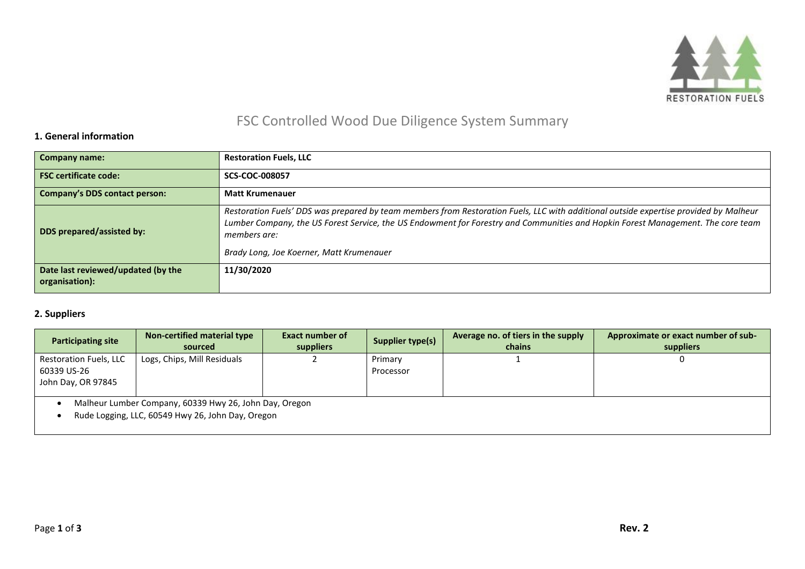

# FSC Controlled Wood Due Diligence System Summary

# **1. General information**

| <b>Company name:</b>                                 | <b>Restoration Fuels, LLC</b>                                                                                                                                                                                                                                                                                                         |
|------------------------------------------------------|---------------------------------------------------------------------------------------------------------------------------------------------------------------------------------------------------------------------------------------------------------------------------------------------------------------------------------------|
| <b>FSC certificate code:</b>                         | SCS-COC-008057                                                                                                                                                                                                                                                                                                                        |
| Company's DDS contact person:                        | <b>Matt Krumenauer</b>                                                                                                                                                                                                                                                                                                                |
| DDS prepared/assisted by:                            | Restoration Fuels' DDS was prepared by team members from Restoration Fuels, LLC with additional outside expertise provided by Malheur<br>Lumber Company, the US Forest Service, the US Endowment for Forestry and Communities and Hopkin Forest Management. The core team<br>members are:<br>Brady Long, Joe Koerner, Matt Krumenauer |
| Date last reviewed/updated (by the<br>organisation): | 11/30/2020                                                                                                                                                                                                                                                                                                                            |

# **2. Suppliers**

| <b>Participating site</b>                                          | Non-certified material type<br>sourced                                                                      | <b>Exact number of</b><br>suppliers | Supplier type(s)     | Average no. of tiers in the supply<br>chains | Approximate or exact number of sub-<br>suppliers |
|--------------------------------------------------------------------|-------------------------------------------------------------------------------------------------------------|-------------------------------------|----------------------|----------------------------------------------|--------------------------------------------------|
| <b>Restoration Fuels, LLC</b><br>60339 US-26<br>John Day, OR 97845 | Logs, Chips, Mill Residuals                                                                                 |                                     | Primary<br>Processor |                                              | 0                                                |
|                                                                    | Malheur Lumber Company, 60339 Hwy 26, John Day, Oregon<br>Rude Logging, LLC, 60549 Hwy 26, John Day, Oregon |                                     |                      |                                              |                                                  |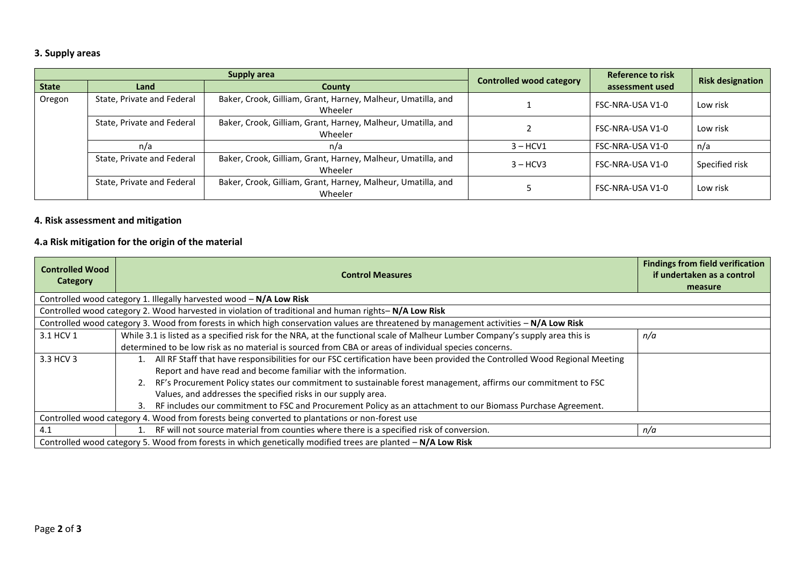# **3. Supply areas**

| Supply area  |                            |                                                                         |                                 | <b>Reference to risk</b> |                         |
|--------------|----------------------------|-------------------------------------------------------------------------|---------------------------------|--------------------------|-------------------------|
| <b>State</b> | Land                       | County                                                                  | <b>Controlled wood category</b> | assessment used          | <b>Risk designation</b> |
| Oregon       | State, Private and Federal | Baker, Crook, Gilliam, Grant, Harney, Malheur, Umatilla, and<br>Wheeler |                                 | FSC-NRA-USA V1-0         | Low risk                |
|              | State, Private and Federal | Baker, Crook, Gilliam, Grant, Harney, Malheur, Umatilla, and<br>Wheeler |                                 | FSC-NRA-USA V1-0         | Low risk                |
|              | n/a                        | n/a                                                                     | $3 - HCV1$                      | FSC-NRA-USA V1-0         | n/a                     |
|              | State, Private and Federal | Baker, Crook, Gilliam, Grant, Harney, Malheur, Umatilla, and<br>Wheeler | $3 - HCV3$                      | FSC-NRA-USA V1-0         | Specified risk          |
|              | State, Private and Federal | Baker, Crook, Gilliam, Grant, Harney, Malheur, Umatilla, and<br>Wheeler |                                 | FSC-NRA-USA V1-0         | Low risk                |

# **4. Risk assessment and mitigation**

# **4.a Risk mitigation for the origin of the material**

| <b>Controlled Wood</b><br>Category                                                                           | <b>Control Measures</b>                                                                                                                | <b>Findings from field verification</b><br>if undertaken as a control<br>measure |  |
|--------------------------------------------------------------------------------------------------------------|----------------------------------------------------------------------------------------------------------------------------------------|----------------------------------------------------------------------------------|--|
|                                                                                                              | Controlled wood category 1. Illegally harvested wood - N/A Low Risk                                                                    |                                                                                  |  |
|                                                                                                              | Controlled wood category 2. Wood harvested in violation of traditional and human rights-N/A Low Risk                                   |                                                                                  |  |
|                                                                                                              | Controlled wood category 3. Wood from forests in which high conservation values are threatened by management activities - N/A Low Risk |                                                                                  |  |
| 3.1 HCV 1                                                                                                    | While 3.1 is listed as a specified risk for the NRA, at the functional scale of Malheur Lumber Company's supply area this is           | n/a                                                                              |  |
|                                                                                                              | determined to be low risk as no material is sourced from CBA or areas of individual species concerns.                                  |                                                                                  |  |
| 3.3 HCV 3                                                                                                    | All RF Staff that have responsibilities for our FSC certification have been provided the Controlled Wood Regional Meeting              |                                                                                  |  |
|                                                                                                              | Report and have read and become familiar with the information.                                                                         |                                                                                  |  |
|                                                                                                              | RF's Procurement Policy states our commitment to sustainable forest management, affirms our commitment to FSC                          |                                                                                  |  |
|                                                                                                              | Values, and addresses the specified risks in our supply area.                                                                          |                                                                                  |  |
|                                                                                                              | RF includes our commitment to FSC and Procurement Policy as an attachment to our Biomass Purchase Agreement.<br>3.                     |                                                                                  |  |
| Controlled wood category 4. Wood from forests being converted to plantations or non-forest use               |                                                                                                                                        |                                                                                  |  |
| 4.1                                                                                                          | 1. RF will not source material from counties where there is a specified risk of conversion.                                            | n/a                                                                              |  |
| Controlled wood category 5. Wood from forests in which genetically modified trees are planted - N/A Low Risk |                                                                                                                                        |                                                                                  |  |